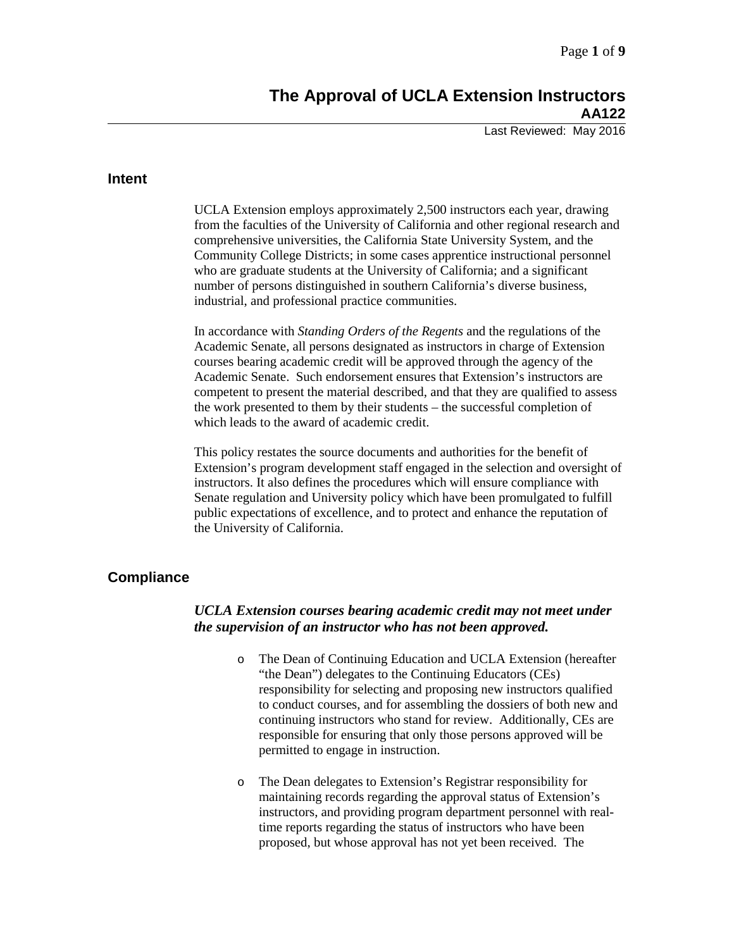# **The Approval of UCLA Extension Instructors AA122**

Last Reviewed: May 2016

### **Intent**

UCLA Extension employs approximately 2,500 instructors each year, drawing from the faculties of the University of California and other regional research and comprehensive universities, the California State University System, and the Community College Districts; in some cases apprentice instructional personnel who are graduate students at the University of California; and a significant number of persons distinguished in southern California's diverse business, industrial, and professional practice communities.

In accordance with *Standing Orders of the Regents* and the regulations of the Academic Senate, all persons designated as instructors in charge of Extension courses bearing academic credit will be approved through the agency of the Academic Senate. Such endorsement ensures that Extension's instructors are competent to present the material described, and that they are qualified to assess the work presented to them by their students – the successful completion of which leads to the award of academic credit.

This policy restates the source documents and authorities for the benefit of Extension's program development staff engaged in the selection and oversight of instructors. It also defines the procedures which will ensure compliance with Senate regulation and University policy which have been promulgated to fulfill public expectations of excellence, and to protect and enhance the reputation of the University of California.

### **Compliance**

### *UCLA Extension courses bearing academic credit may not meet under the supervision of an instructor who has not been approved.*

- o The Dean of Continuing Education and UCLA Extension (hereafter "the Dean") delegates to the Continuing Educators (CEs) responsibility for selecting and proposing new instructors qualified to conduct courses, and for assembling the dossiers of both new and continuing instructors who stand for review. Additionally, CEs are responsible for ensuring that only those persons approved will be permitted to engage in instruction.
- o The Dean delegates to Extension's Registrar responsibility for maintaining records regarding the approval status of Extension's instructors, and providing program department personnel with realtime reports regarding the status of instructors who have been proposed, but whose approval has not yet been received. The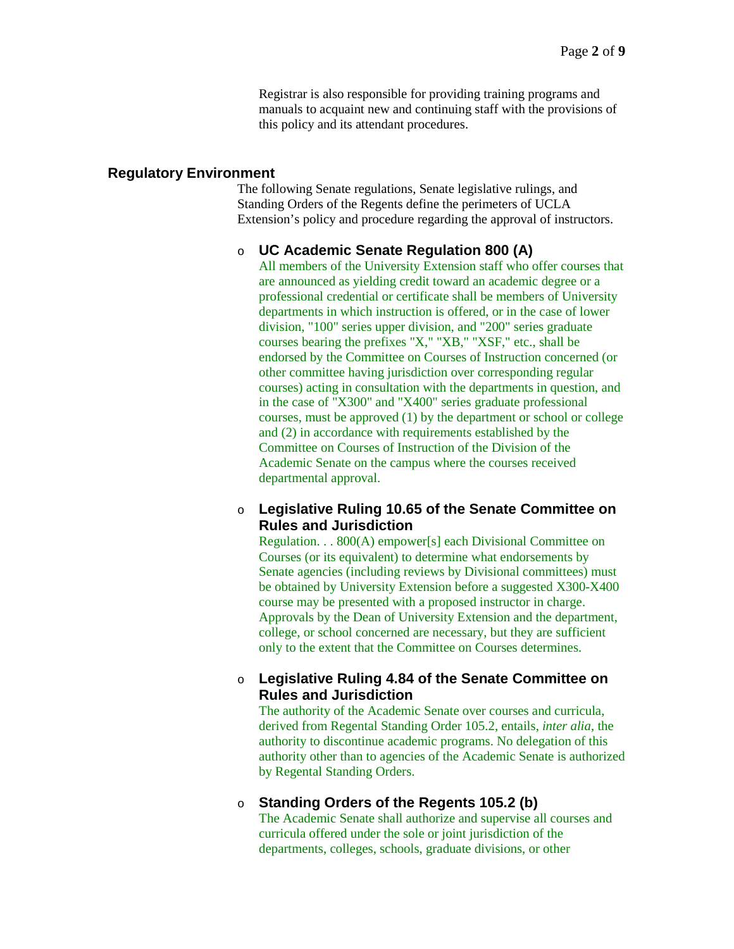Registrar is also responsible for providing training programs and manuals to acquaint new and continuing staff with the provisions of this policy and its attendant procedures.

### **Regulatory Environment**

The following Senate regulations, Senate legislative rulings, and Standing Orders of the Regents define the perimeters of UCLA Extension's policy and procedure regarding the approval of instructors.

### o **UC Academic Senate Regulation 800 (A)**

All members of the University Extension staff who offer courses that are announced as yielding credit toward an academic degree or a professional credential or certificate shall be members of University departments in which instruction is offered, or in the case of lower division, "100" series upper division, and "200" series graduate courses bearing the prefixes "X," "XB," "XSF," etc., shall be endorsed by the Committee on Courses of Instruction concerned (or other committee having jurisdiction over corresponding regular courses) acting in consultation with the departments in question, and in the case of "X300" and "X400" series graduate professional courses, must be approved (1) by the department or school or college and (2) in accordance with requirements established by the Committee on Courses of Instruction of the Division of the Academic Senate on the campus where the courses received departmental approval.

### o **Legislative Ruling 10.65 of the Senate Committee on Rules and Jurisdiction**

Regulation. . . 800(A) empower[s] each Divisional Committee on Courses (or its equivalent) to determine what endorsements by Senate agencies (including reviews by Divisional committees) must be obtained by University Extension before a suggested X300-X400 course may be presented with a proposed instructor in charge. Approvals by the Dean of University Extension and the department, college, or school concerned are necessary, but they are sufficient only to the extent that the Committee on Courses determines.

### o **Legislative Ruling 4.84 of the Senate Committee on Rules and Jurisdiction**

The authority of the Academic Senate over courses and curricula, derived from Regental Standing Order 105.2, entails, *inter alia*, the authority to discontinue academic programs. No delegation of this authority other than to agencies of the Academic Senate is authorized by Regental Standing Orders.

#### o **Standing Orders of the Regents 105.2 (b)**

The Academic Senate shall authorize and supervise all courses and curricula offered under the sole or joint jurisdiction of the departments, colleges, schools, graduate divisions, or other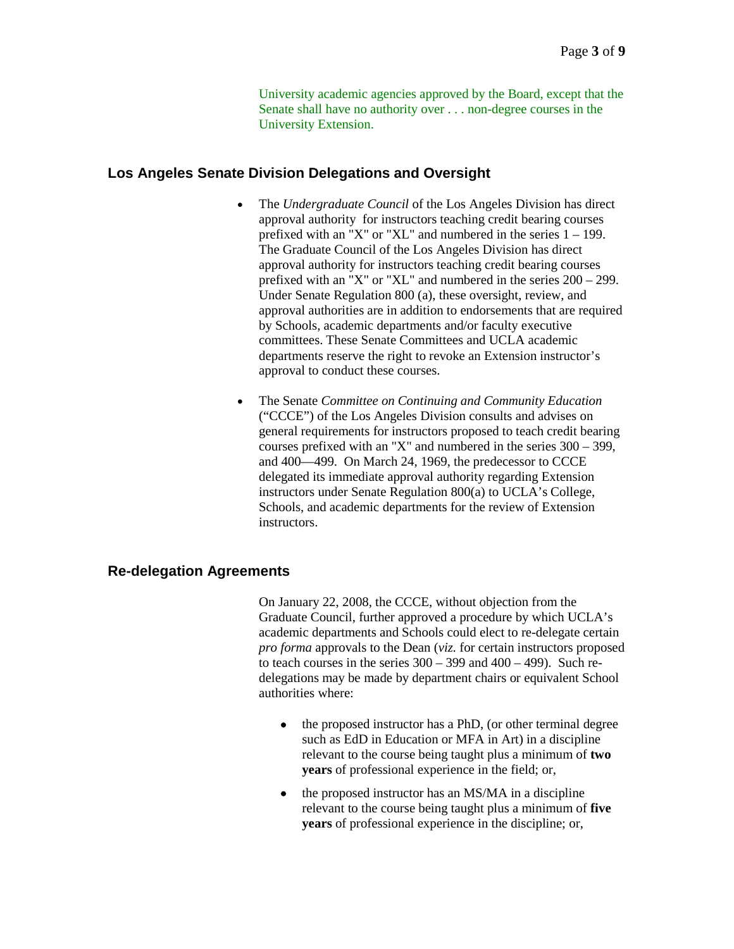University academic agencies approved by the Board, except that the Senate shall have no authority over . . . non-degree courses in the University Extension.

### **Los Angeles Senate Division Delegations and Oversight**

- The *Undergraduate Council* of the Los Angeles Division has direct approval authority for instructors teaching credit bearing courses prefixed with an "X" or "XL" and numbered in the series 1 – 199. The Graduate Council of the Los Angeles Division has direct approval authority for instructors teaching credit bearing courses prefixed with an "X" or "XL" and numbered in the series 200 – 299. Under Senate Regulation 800 (a), these oversight, review, and approval authorities are in addition to endorsements that are required by Schools, academic departments and/or faculty executive committees. These Senate Committees and UCLA academic departments reserve the right to revoke an Extension instructor's approval to conduct these courses.
- The Senate *Committee on Continuing and Community Education* ("CCCE") of the Los Angeles Division consults and advises on general requirements for instructors proposed to teach credit bearing courses prefixed with an "X" and numbered in the series 300 – 399, and 400—499. On March 24, 1969, the predecessor to CCCE delegated its immediate approval authority regarding Extension instructors under Senate Regulation 800(a) to UCLA's College, Schools, and academic departments for the review of Extension instructors.

### **Re-delegation Agreements**

On January 22, 2008, the CCCE, without objection from the Graduate Council, further approved a procedure by which UCLA's academic departments and Schools could elect to re-delegate certain *pro forma* approvals to the Dean (*viz.* for certain instructors proposed to teach courses in the series  $300 - 399$  and  $400 - 499$ ). Such redelegations may be made by department chairs or equivalent School authorities where:

- the proposed instructor has a PhD, (or other terminal degree such as EdD in Education or MFA in Art) in a discipline relevant to the course being taught plus a minimum of **two years** of professional experience in the field; or,
- the proposed instructor has an MS/MA in a discipline relevant to the course being taught plus a minimum of **five years** of professional experience in the discipline; or,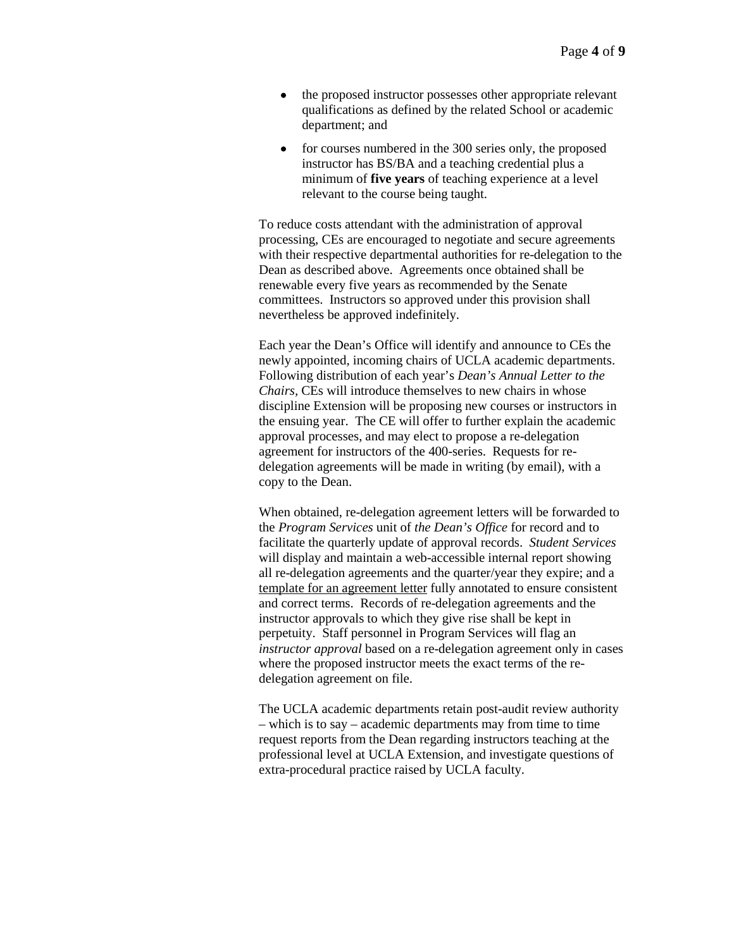- the proposed instructor possesses other appropriate relevant qualifications as defined by the related School or academic department; and
- for courses numbered in the 300 series only, the proposed instructor has BS/BA and a teaching credential plus a minimum of **five years** of teaching experience at a level relevant to the course being taught.

To reduce costs attendant with the administration of approval processing, CEs are encouraged to negotiate and secure agreements with their respective departmental authorities for re-delegation to the Dean as described above. Agreements once obtained shall be renewable every five years as recommended by the Senate committees. Instructors so approved under this provision shall nevertheless be approved indefinitely.

Each year the Dean's Office will identify and announce to CEs the newly appointed, incoming chairs of UCLA academic departments. Following distribution of each year's *Dean's Annual Letter to the Chairs,* CEs will introduce themselves to new chairs in whose discipline Extension will be proposing new courses or instructors in the ensuing year. The CE will offer to further explain the academic approval processes, and may elect to propose a re-delegation agreement for instructors of the 400-series. Requests for redelegation agreements will be made in writing (by email), with a copy to the Dean.

When obtained, re-delegation agreement letters will be forwarded to the *Program Services* unit of *the Dean's Office* for record and to facilitate the quarterly update of approval records. *Student Services* will display and maintain a web-accessible internal report showing all re-delegation agreements and the quarter/year they expire; and a template for [an agreement letter](http://intracon.uclaextension.edu/departments/studentservices/sampleredelegationletter.htm) fully annotated to ensure consistent and correct terms. Records of re-delegation agreements and the instructor approvals to which they give rise shall be kept in perpetuity. Staff personnel in Program Services will flag an *instructor approval* based on a re-delegation agreement only in cases where the proposed instructor meets the exact terms of the redelegation agreement on file.

The UCLA academic departments retain post-audit review authority – which is to say – academic departments may from time to time request reports from the Dean regarding instructors teaching at the professional level at UCLA Extension, and investigate questions of extra-procedural practice raised by UCLA faculty.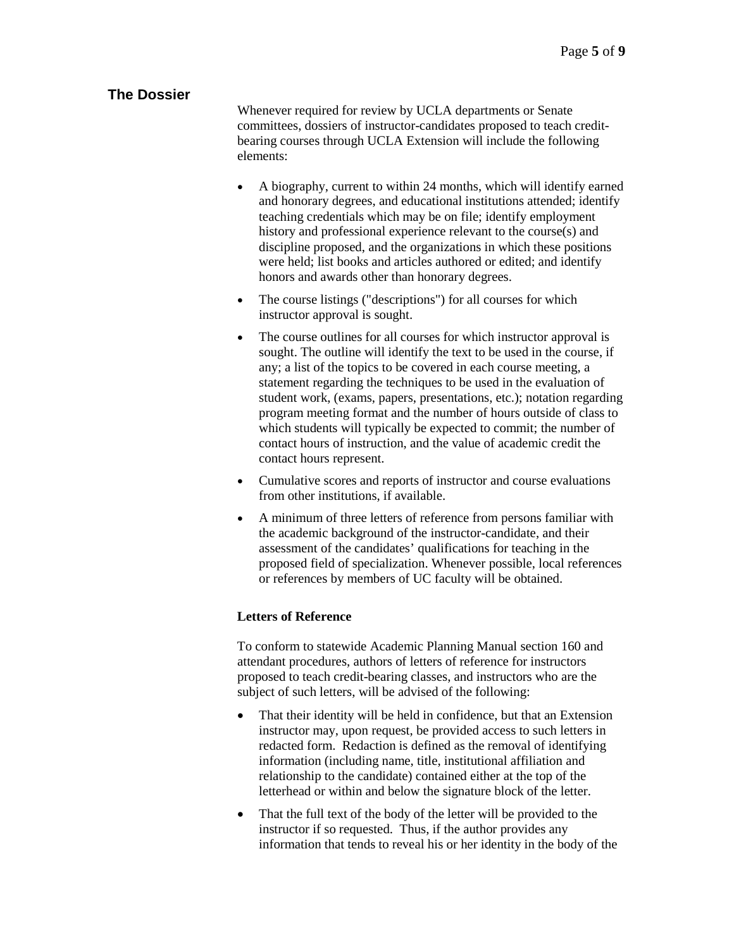# **The Dossier**

Whenever required for review by UCLA departments or Senate committees, dossiers of instructor-candidates proposed to teach creditbearing courses through UCLA Extension will include the following elements:

- A biography, current to within 24 months, which will identify earned and honorary degrees, and educational institutions attended; identify teaching credentials which may be on file; identify employment history and professional experience relevant to the course(s) and discipline proposed, and the organizations in which these positions were held; list books and articles authored or edited; and identify honors and awards other than honorary degrees.
- The course listings ("descriptions") for all courses for which instructor approval is sought.
- The course outlines for all courses for which instructor approval is sought. The outline will identify the text to be used in the course, if any; a list of the topics to be covered in each course meeting, a statement regarding the techniques to be used in the evaluation of student work, (exams, papers, presentations, etc.); notation regarding program meeting format and the number of hours outside of class to which students will typically be expected to commit; the number of contact hours of instruction, and the value of academic credit the contact hours represent.
- Cumulative scores and reports of instructor and course evaluations from other institutions, if available.
- A minimum of three letters of reference from persons familiar with the academic background of the instructor-candidate, and their assessment of the candidates' qualifications for teaching in the proposed field of specialization. Whenever possible, local references or references by members of UC faculty will be obtained.

### **Letters of Reference**

To conform to statewide Academic Planning Manual section 160 and attendant procedures, authors of letters of reference for instructors proposed to teach credit-bearing classes, and instructors who are the subject of such letters, will be advised of the following:

- That their identity will be held in confidence, but that an Extension instructor may, upon request, be provided access to such letters in redacted form. Redaction is defined as the removal of identifying information (including name, title, institutional affiliation and relationship to the candidate) contained either at the top of the letterhead or within and below the signature block of the letter.
- That the full text of the body of the letter will be provided to the instructor if so requested. Thus, if the author provides any information that tends to reveal his or her identity in the body of the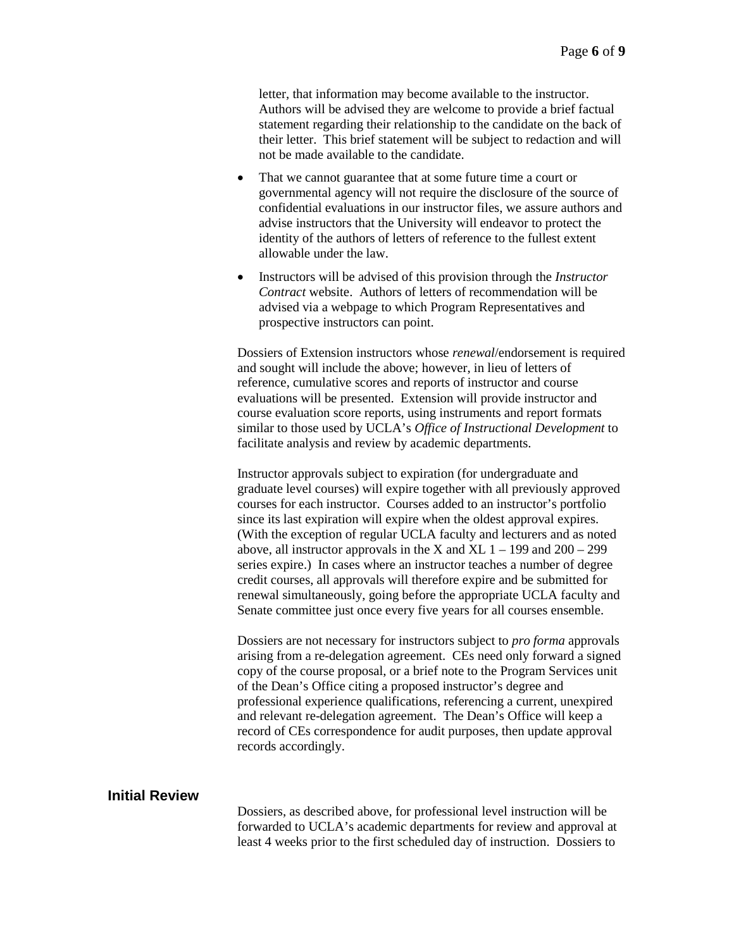letter, that information may become available to the instructor. Authors will be advised they are welcome to provide a brief factual statement regarding their relationship to the candidate on the back of their letter. This brief statement will be subject to redaction and will not be made available to the candidate.

- That we cannot guarantee that at some future time a court or governmental agency will not require the disclosure of the source of confidential evaluations in our instructor files, we assure authors and advise instructors that the University will endeavor to protect the identity of the authors of letters of reference to the fullest extent allowable under the law.
- Instructors will be advised of this provision through the *Instructor Contract* website. Authors of letters of recommendation will be advised via a webpage to which Program Representatives and prospective instructors can point.

Dossiers of Extension instructors whose *renewal*/endorsement is required and sought will include the above; however, in lieu of letters of reference, cumulative scores and reports of instructor and course evaluations will be presented. Extension will provide instructor and course evaluation score reports, using instruments and report formats similar to those used by UCLA's *Office of Instructional Development* to facilitate analysis and review by academic departments.

Instructor approvals subject to expiration (for undergraduate and graduate level courses) will expire together with all previously approved courses for each instructor. Courses added to an instructor's portfolio since its last expiration will expire when the oldest approval expires. (With the exception of regular UCLA faculty and lecturers and as noted above, all instructor approvals in the X and XL  $1 - 199$  and  $200 - 299$ series expire.) In cases where an instructor teaches a number of degree credit courses, all approvals will therefore expire and be submitted for renewal simultaneously, going before the appropriate UCLA faculty and Senate committee just once every five years for all courses ensemble.

Dossiers are not necessary for instructors subject to *pro forma* approvals arising from a re-delegation agreement. CEs need only forward a signed copy of the course proposal, or a brief note to the Program Services unit of the Dean's Office citing a proposed instructor's degree and professional experience qualifications, referencing a current, unexpired and relevant re-delegation agreement. The Dean's Office will keep a record of CEs correspondence for audit purposes, then update approval records accordingly.

### **Initial Review**

Dossiers, as described above, for professional level instruction will be forwarded to UCLA's academic departments for review and approval at least 4 weeks prior to the first scheduled day of instruction. Dossiers to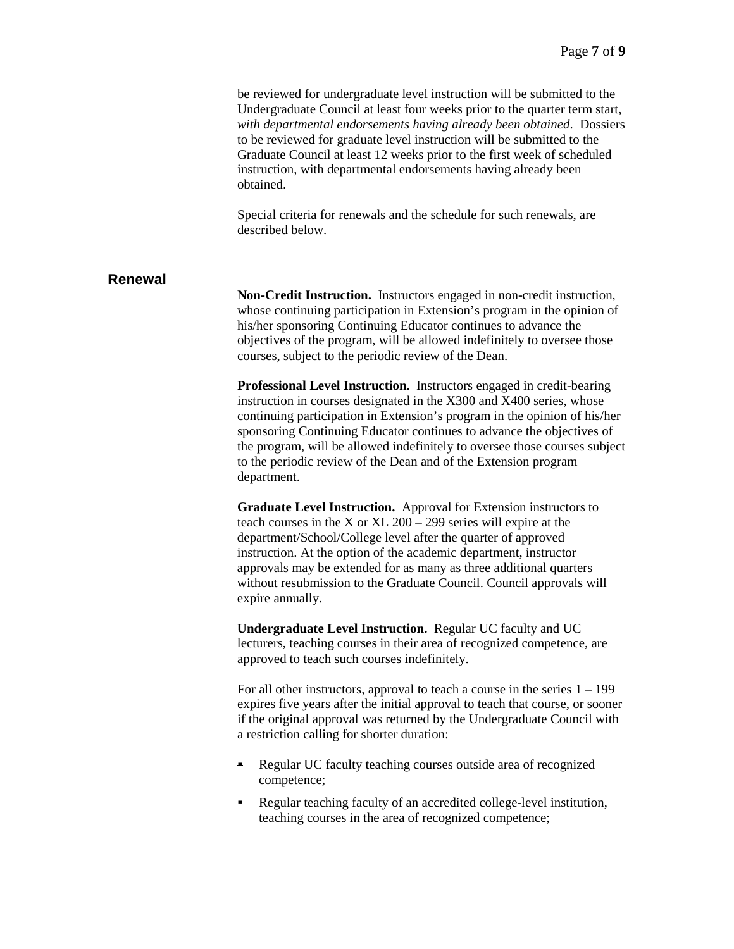|                | be reviewed for undergraduate level instruction will be submitted to the<br>Undergraduate Council at least four weeks prior to the quarter term start,<br>with departmental endorsements having already been obtained. Dossiers<br>to be reviewed for graduate level instruction will be submitted to the<br>Graduate Council at least 12 weeks prior to the first week of scheduled<br>instruction, with departmental endorsements having already been<br>obtained.<br>Special criteria for renewals and the schedule for such renewals, are<br>described below. |
|----------------|-------------------------------------------------------------------------------------------------------------------------------------------------------------------------------------------------------------------------------------------------------------------------------------------------------------------------------------------------------------------------------------------------------------------------------------------------------------------------------------------------------------------------------------------------------------------|
| <b>Renewal</b> | Non-Credit Instruction. Instructors engaged in non-credit instruction,<br>whose continuing participation in Extension's program in the opinion of<br>his/her sponsoring Continuing Educator continues to advance the<br>objectives of the program, will be allowed indefinitely to oversee those<br>courses, subject to the periodic review of the Dean.                                                                                                                                                                                                          |
|                | Professional Level Instruction. Instructors engaged in credit-bearing<br>instruction in courses designated in the X300 and X400 series, whose<br>continuing participation in Extension's program in the opinion of his/her<br>sponsoring Continuing Educator continues to advance the objectives of<br>the program, will be allowed indefinitely to oversee those courses subject<br>to the periodic review of the Dean and of the Extension program<br>department.                                                                                               |
|                | Graduate Level Instruction. Approval for Extension instructors to<br>teach courses in the X or XL $200 - 299$ series will expire at the<br>department/School/College level after the quarter of approved<br>instruction. At the option of the academic department, instructor<br>approvals may be extended for as many as three additional quarters<br>without resubmission to the Graduate Council. Council approvals will<br>expire annually.                                                                                                                   |
|                | Undergraduate Level Instruction. Regular UC faculty and UC<br>lecturers, teaching courses in their area of recognized competence, are<br>approved to teach such courses indefinitely.                                                                                                                                                                                                                                                                                                                                                                             |
|                | For all other instructors, approval to teach a course in the series $1 - 199$<br>expires five years after the initial approval to teach that course, or sooner<br>if the original approval was returned by the Undergraduate Council with<br>a restriction calling for shorter duration:                                                                                                                                                                                                                                                                          |
|                | Regular UC faculty teaching courses outside area of recognized<br>competence;                                                                                                                                                                                                                                                                                                                                                                                                                                                                                     |
|                | Regular teaching faculty of an accredited college-level institution,<br>٠<br>teaching courses in the area of recognized competence;                                                                                                                                                                                                                                                                                                                                                                                                                               |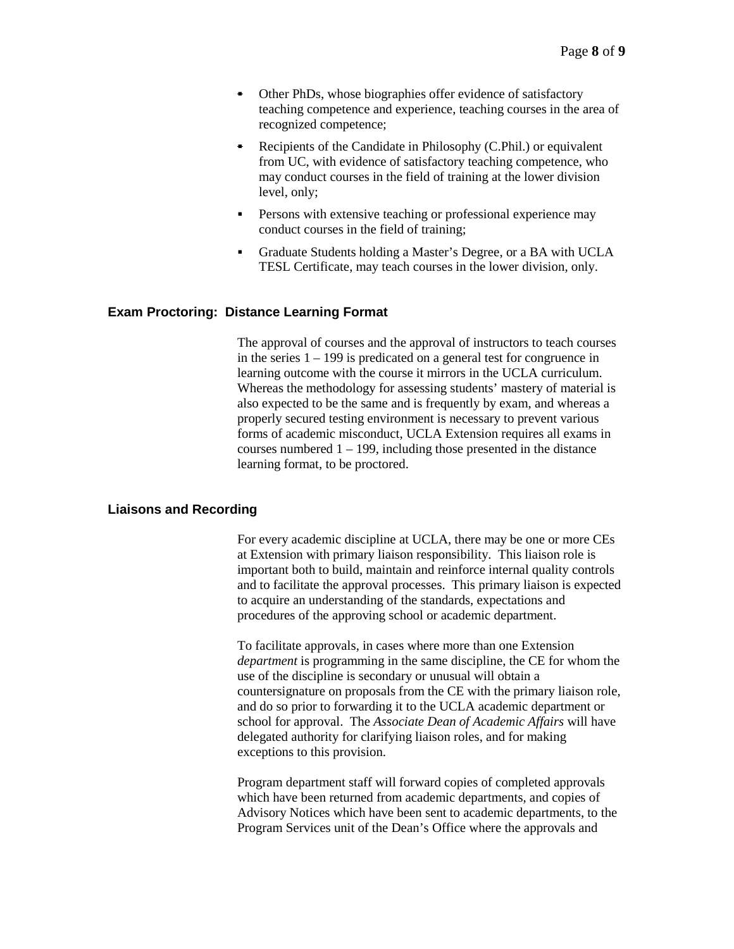- Other PhDs, whose biographies offer evidence of satisfactory teaching competence and experience, teaching courses in the area of recognized competence;
- Recipients of the Candidate in Philosophy (C.Phil.) or equivalent from UC, with evidence of satisfactory teaching competence, who may conduct courses in the field of training at the lower division level, only;
- **Persons with extensive teaching or professional experience may** conduct courses in the field of training;
- Graduate Students holding a Master's Degree, or a BA with UCLA TESL Certificate, may teach courses in the lower division, only.

#### **Exam Proctoring: Distance Learning Format**

The approval of courses and the approval of instructors to teach courses in the series 1 – 199 is predicated on a general test for congruence in learning outcome with the course it mirrors in the UCLA curriculum. Whereas the methodology for assessing students' mastery of material is also expected to be the same and is frequently by exam, and whereas a properly secured testing environment is necessary to prevent various forms of academic misconduct, UCLA Extension requires all exams in courses numbered  $1 - 199$ , including those presented in the distance learning format, to be proctored.

#### **Liaisons and Recording**

For every academic discipline at UCLA, there may be one or more CEs at Extension with primary liaison responsibility. This liaison role is important both to build, maintain and reinforce internal quality controls and to facilitate the approval processes. This primary liaison is expected to acquire an understanding of the standards, expectations and procedures of the approving school or academic department.

To facilitate approvals, in cases where more than one Extension *department* is programming in the same discipline, the CE for whom the use of the discipline is secondary or unusual will obtain a countersignature on proposals from the CE with the primary liaison role, and do so prior to forwarding it to the UCLA academic department or school for approval. The *Associate Dean of Academic Affairs* will have delegated authority for clarifying liaison roles, and for making exceptions to this provision.

Program department staff will forward copies of completed approvals which have been returned from academic departments, and copies of Advisory Notices which have been sent to academic departments, to the Program Services unit of the Dean's Office where the approvals and